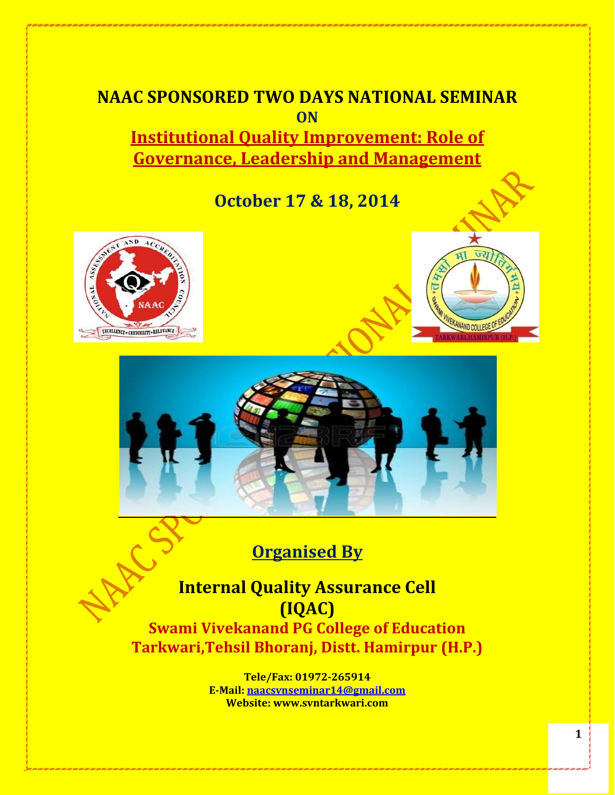# **NAAC SPONSORED TWO DAYS NATIONAL SEMINAR ON Institutional Quality Improvement: Role of**

**Governance, Leadership and Management**

**October 17 & 18, 2014**







# **Organised By**

**Internal Quality Assurance Cell (IQAC)**

**Swami Vivekanand PG College of Education Tarkwari,Tehsil Bhoranj, Distt. Hamirpur (H.P.)**

> **Tele/Fax: 01972-265914 E-Mail: naacsvnseminar14@gmail.com Website: www.svntarkwari.com**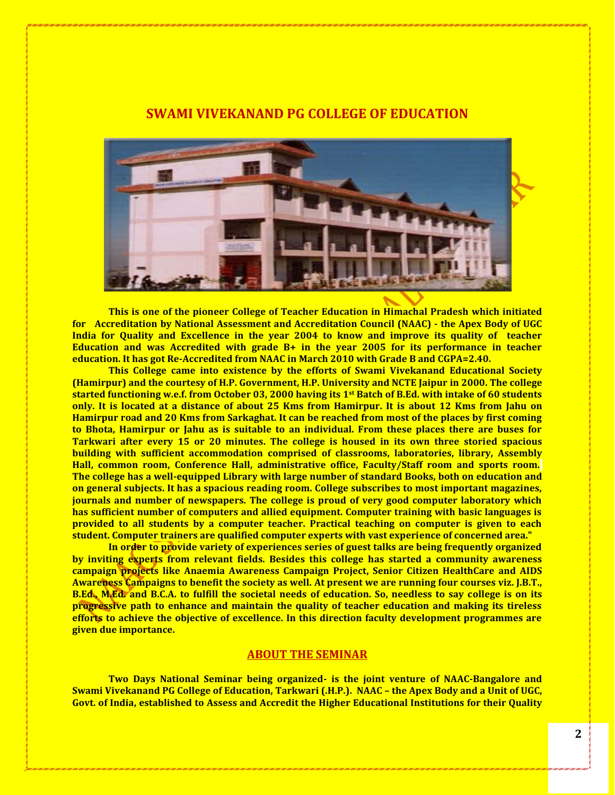## **SWAMI VIVEKANAND PG COLLEGE OF EDUCATION**



**This is one of the pioneer College of Teacher Education in Himachal Pradesh which initiated for Accreditation by National Assessment and Accreditation Council (NAAC) - the Apex Body of UGC India for Quality and Excellence in the year 2004 to know and improve its quality of teacher Education and was Accredited with grade B+ in the year 2005 for its performance in teacher education. It has got Re-Accredited from NAAC in March 2010 with Grade B and CGPA=2.40.**

**This College came into existence by the efforts of Swami Vivekanand Educational Society (Hamirpur) and the courtesy of H.P. Government, H.P. University and NCTE Jaipur in 2000. The college started functioning w.e.f. from October 03, 2000 having its 1st Batch of B.Ed. with intake of 60 students only. It is located at a distance of about 25 Kms from Hamirpur. It is about 12 Kms from Jahu on Hamirpur road and 20 Kms from Sarkaghat. It can be reached from most of the places by first coming to Bhota, Hamirpur or Jahu as is suitable to an individual. From these places there are buses for Tarkwari after every 15 or 20 minutes. The college is housed in its own three storied spacious building with sufficient accommodation comprised of classrooms, laboratories, library, Assembly Hall, common room, Conference Hall, administrative office, Faculty/Staff room and sports room. The college has a well-equipped Library with large number of standard Books, both on education and on general subjects. It has a spacious reading room. College subscribes to most important magazines, journals and number of newspapers. The college is proud of very good computer laboratory which has sufficient number of computers and allied equipment. Computer training with basic languages is provided to all students by a computer teacher. Practical teaching on computer is given to each student. Computer trainers are qualified computer experts with vast experience of concerned area."**

**In order to provide variety of experiences series of guest talks are being frequently organized by inviting experts from relevant fields. Besides this college has started a community awareness campaign projects like Anaemia Awareness Campaign Project, Senior Citizen HealthCare and AIDS Awareness Campaigns to benefit the society as well. At present we are running four courses viz. J.B.T., B.Ed., M.Ed. and B.C.A. to fulfill the societal needs of education. So, needless to say college is on its progressive path to enhance and maintain the quality of teacher education and making its tireless efforts to achieve the objective of excellence. In this direction faculty development programmes are given due importance.** 

#### **ABOUT THE SEMINAR**

**Two Days National Seminar being organized- is the joint venture of NAAC-Bangalore and Swami Vivekanand PG College of Education, Tarkwari (.H.P.). NAAC – the Apex Body and a Unit of UGC, Govt. of India, established to Assess and Accredit the Higher Educational Institutions for their Quality**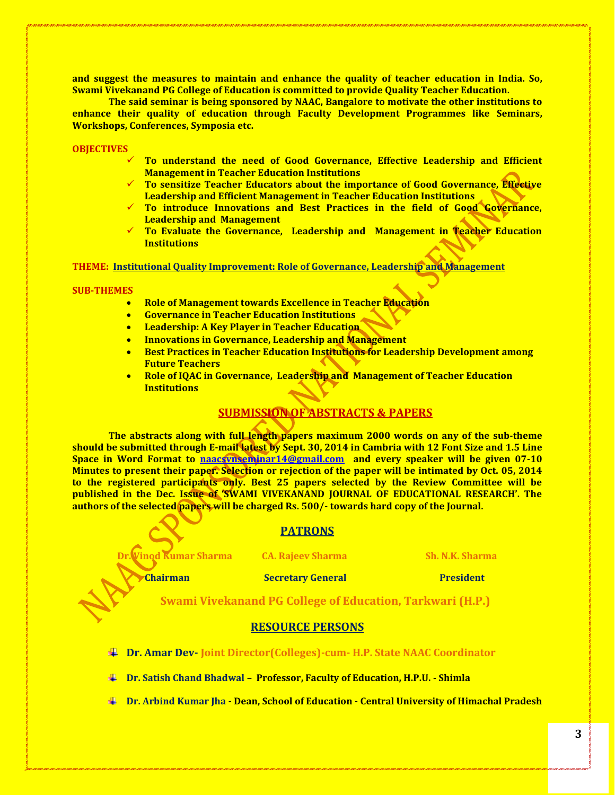**and suggest the measures to maintain and enhance the quality of teacher education in India. So, Swami Vivekanand PG College of Education is committed to provide Quality Teacher Education.**

**The said seminar is being sponsored by NAAC, Bangalore to motivate the other institutions to enhance their quality of education through Faculty Development Programmes like Seminars, Workshops, Conferences, Symposia etc.** 

**OBJECTIVES**

- **To understand the need of Good Governance, Effective Leadership and Efficient Management in Teacher Education Institutions**
- **To sensitize Teacher Educators about the importance of Good Governance, Effective Leadership and Efficient Management in Teacher Education Institutions**
- **To introduce Innovations and Best Practices in the field of Good Governance, Leadership and Management**
- **To Evaluate the Governance, Leadership and Management in Teacher Education Institutions**

**THEME: Institutional Quality Improvement: Role of Governance, Leadership and Management**

**SUB-THEMES**

- **Role of Management towards Excellence in Teacher Education**
- **Governance in Teacher Education Institutions**
- **Leadership: A Key Player in Teacher Education**
- **Innovations in Governance, Leadership and Management**
- **Best Practices in Teacher Education Institutions for Leadership Development among Future Teachers**
- **Role of IQAC in Governance, Leadership and Management of Teacher Education Institutions**

## **SUBMISSION OF ABSTRACTS & PAPERS**

**The abstracts along with full length papers maximum 2000 words on any of the sub-theme should be submitted through E-mail latest by Sept. 30, 2014 in Cambria with 12 Font Size and 1.5 Line Space in Word Format to [naacsvnseminar14@gmail.com](mailto:naacsvnseminar14@gmail.com) and every speaker will be given 07-10 Minutes to present their paper. Selection or rejection of the paper will be intimated by Oct. 05, 2014 to the registered participants only. Best 25 papers selected by the Review Committee will be published in the Dec. Issue of 'SWAMI VIVEKANAND JOURNAL OF EDUCATIONAL RESEARCH'. The authors of the selected papers will be charged Rs. 500/- towards hard copy of the Journal.** 

#### **PATRONS**

**Dr. Vinod Kumar Sharma CA. Rajeev Sharma Sh. N.K. Sharma**

**Chairman** Secretary General **President** 

**Swami Vivekanand PG College of Education, Tarkwari (H.P.)**

#### **RESOURCE PERSONS**

- **Dr. Amar Dev- Joint Director(Colleges)-cum- H.P. State NAAC Coordinator**
- **Dr. Satish Chand Bhadwal – Professor, Faculty of Education, H.P.U. - Shimla**
- **Dr. Arbind Kumar Jha - Dean, School of Education - Central University of Himachal Pradesh**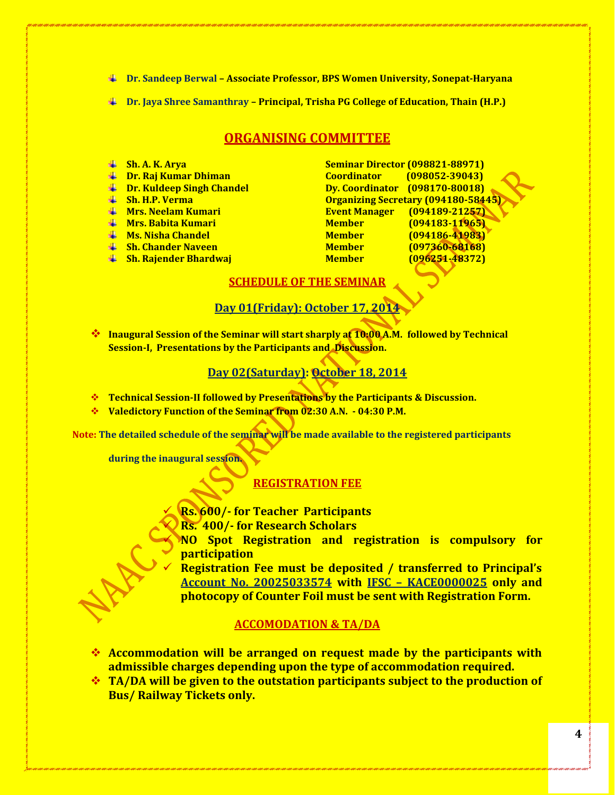**Dr. Sandeep Berwal – Associate Professor, BPS Women University, Sonepat-Haryana**

**Dr. Jaya Shree Samanthray – Principal, Trisha PG College of Education, Thain (H.P.)**

## **ORGANISING COMMITTEE**

- 
- 
- 
- 
- 
- 
- 
- 
- 

**Sh. A. K. Arya Seminar Director (098821-88971) Dr. Raj Kumar Dhiman Coordinator (098052-39043) Dr. Kuldeep Singh Chandel Dy. Coordinator (098170-80018) Sh. H.P. Verma Organizing Secretary (094180-58445) Mrs. Neelam Kumari Event Manager (094189-21257) Mrs. Babita Kumari Member (094183-11965) Ms. Nisha Chandel Member (094186-41983) Sh. Chander Naveen Member (097360-68168) Sh. Rajender Bhardwaj Member (096251-48372)**

#### **SCHEDULE OF THE SEMINAR**

### **Day 01(Friday): October 17, 2014**

**<sup>◆</sup> Inaugural Session of the Seminar will start sharply at 10:00 A.M. followed by Technical Session-I, Presentations by the Participants and Discussion.** 

# **Day 02(Saturday): October 18, 2014**

- **Technical Session-II followed by Presentations by the Participants & Discussion.**
- **Valedictory Function of the Seminar from 02:30 A.N. - 04:30 P.M.**

**Note: The detailed schedule of the seminar will be made available to the registered participants** 

**during the inaugural session.**

# **REGISTRATION FEE**

**Rs. 600/- for Teacher Participants** 

**Rs. 400/- for Research Scholars** 

 **NO Spot Registration and registration is compulsory for participation**

 **Registration Fee must be deposited / transferred to Principal's Account No. 20025033574 with IFSC – KACE0000025 only and photocopy of Counter Foil must be sent with Registration Form.** 

# **ACCOMODATION & TA/DA**

- **Accommodation will be arranged on request made by the participants with admissible charges depending upon the type of accommodation required.**
- **TA/DA will be given to the outstation participants subject to the production of Bus/ Railway Tickets only.**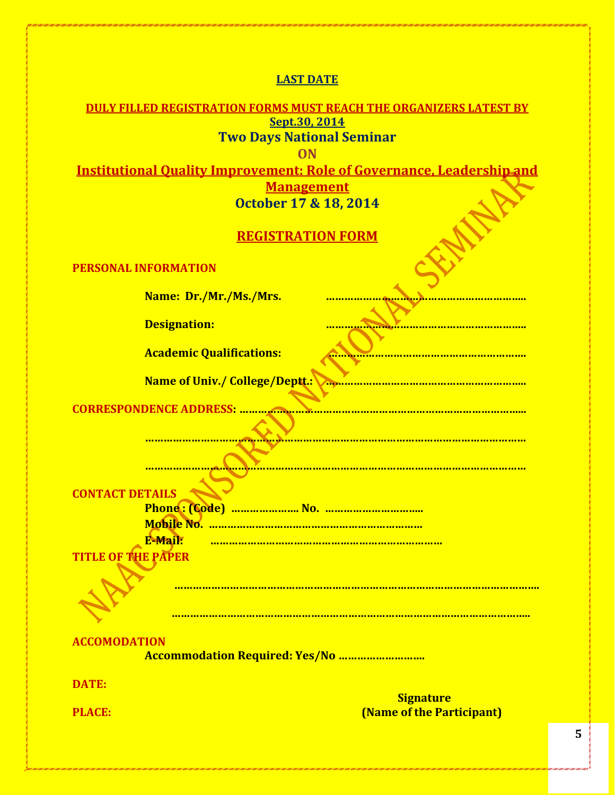**LAST DATE**

| <b>DULY FILLED REGISTRATION FORMS MUST REACH THE ORGANIZERS LATEST BY</b>    |
|------------------------------------------------------------------------------|
| Sept.30, 2014                                                                |
| <b>Two Days National Seminar</b>                                             |
| $\overline{ON}$                                                              |
| <b>Institutional Quality Improvement: Role of Governance, Leadership and</b> |
| <b>Management</b>                                                            |
| October 17 & 18, 2014                                                        |
| <b>REGISTRATION FORM</b>                                                     |
| <b>PERSONAL INFORMATION</b>                                                  |
| Name: Dr./Mr./Ms./Mrs.                                                       |
| <b>Designation:</b>                                                          |
| <b>Academic Qualifications:</b>                                              |
| <b>Name of Univ./ College/Deptt.:</b>                                        |
| <b>CORRESPONDENCE ADDRESS:</b>                                               |
|                                                                              |
|                                                                              |
|                                                                              |
|                                                                              |
|                                                                              |
| <b>CONTACT DETAILS</b>                                                       |
| <b>Mobile No. </b>                                                           |
| <b>E-Mail:</b>                                                               |
| <b>TITLE OF THE PAPER</b>                                                    |
|                                                                              |
|                                                                              |
|                                                                              |
| <b>ACCOMODATION</b>                                                          |
| <b>Accommodation Required: Yes/No </b>                                       |
| <b>DATE:</b>                                                                 |
| <b>Signature</b>                                                             |
| <b>(Name of the Participant)</b><br><b>PLACE:</b>                            |